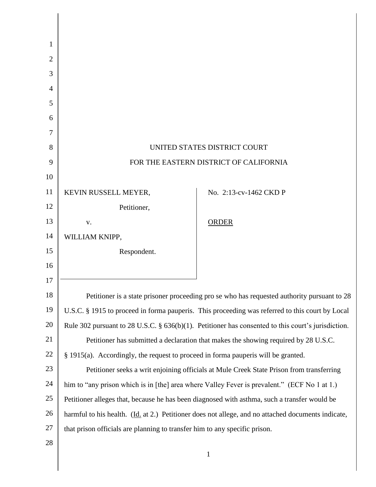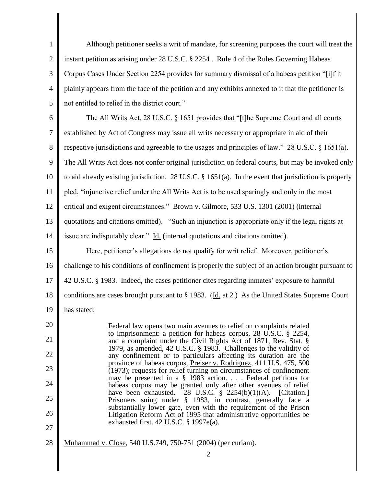1 2 3 4 5 Although petitioner seeks a writ of mandate, for screening purposes the court will treat the instant petition as arising under 28 U.S.C. § 2254 . Rule 4 of the Rules Governing Habeas Corpus Cases Under Section 2254 provides for summary dismissal of a habeas petition "[i]f it plainly appears from the face of the petition and any exhibits annexed to it that the petitioner is not entitled to relief in the district court."

6 7 8 9 10 11 12 13 14 15 The All Writs Act, 28 U.S.C. § 1651 provides that "[t]he Supreme Court and all courts established by Act of Congress may issue all writs necessary or appropriate in aid of their respective jurisdictions and agreeable to the usages and principles of law." 28 U.S.C. § 1651(a). The All Writs Act does not confer original jurisdiction on federal courts, but may be invoked only to aid already existing jurisdiction. 28 U.S.C. § 1651(a). In the event that jurisdiction is properly pled, "injunctive relief under the All Writs Act is to be used sparingly and only in the most critical and exigent circumstances." Brown v. Gilmore, 533 U.S. 1301 (2001) (internal quotations and citations omitted). "Such an injunction is appropriate only if the legal rights at issue are indisputably clear." Id. (internal quotations and citations omitted). Here, petitioner's allegations do not qualify for writ relief. Moreover, petitioner's

16 17 18 challenge to his conditions of confinement is properly the subject of an action brought pursuant to 42 U.S.C. § 1983. Indeed, the cases petitioner cites regarding inmates' exposure to harmful conditions are cases brought pursuant to § 1983. (Id. at 2.) As the United States Supreme Court

19 has stated:

20 21 22 23 24 25 26 27 Federal law opens two main avenues to relief on complaints related to imprisonment: a petition for habeas corpus, 28 U.S.C. § 2254, and a complaint under the Civil Rights Act of 1871, Rev. Stat. § 1979, as amended, 42 U.S.C. § 1983. Challenges to the validity of any confinement or to particulars affecting its duration are the province of habeas corpus, Preiser v. Rodriguez, 411 U.S. 475, 500 (1973); requests for relief turning on circumstances of confinement may be presented in a § 1983 action. . . . Federal petitions for habeas corpus may be granted only after other avenues of relief have been exhausted. 28 U.S.C. § 2254(b)(1)(A). [Citation.] Prisoners suing under § 1983, in contrast, generally face a substantially lower gate, even with the requirement of the Prison Litigation Reform Act of 1995 that administrative opportunities be exhausted first. 42 U.S.C. § 1997e(a).

28 Muhammad v. Close, 540 U.S.749, 750-751 (2004) (per curiam).